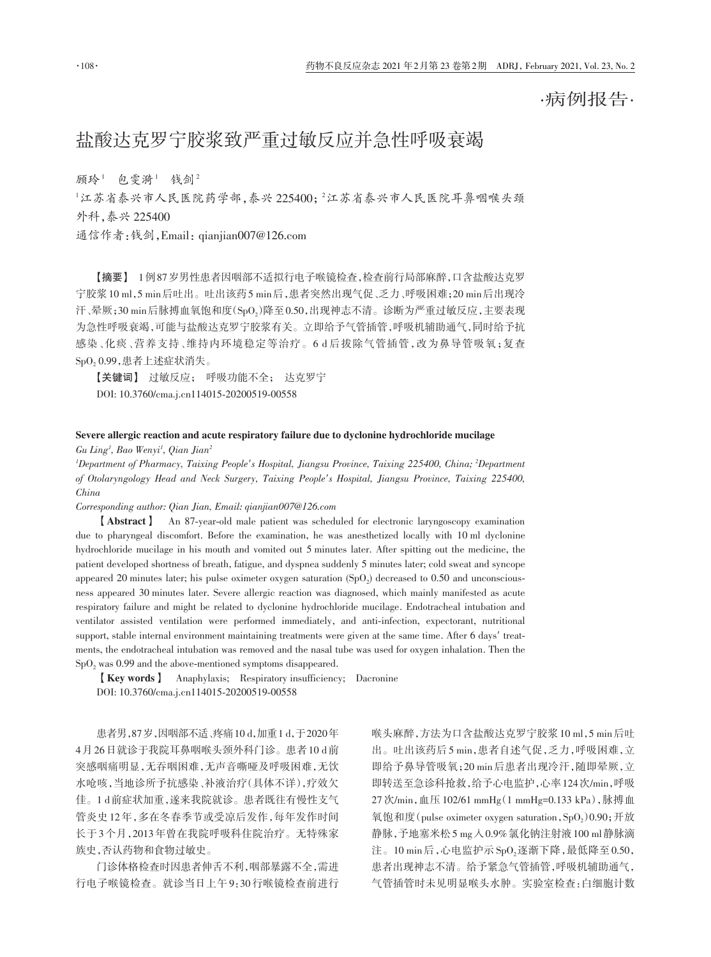·病例报告·

## 盐酸达克罗宁胶浆致严重过敏反应并急性呼吸衰竭

顾玲<sup>1</sup> 包雯漪<sup>1</sup> 钱剑<sup>2</sup>

 $^{\rm 1}$ 江苏省泰兴市人民医院市人民医院中人民医院工具 外科,泰兴 225400

通信作者:钱剑,Email:qianjian007@126.com

【摘要】 1例87岁男性患者因咽部不适拟行电子喉镜检查,检查前行局部麻醉,口含盐酸达克罗 宁胶浆10 ml,5 min后吐出。吐出该药5 min后,患者突然出现气促、乏力、呼吸困难;20 min后出现冷 汗、晕厥;30 min后脉搏血氧饱和度(SpO<sub>2</sub>)降至 0.50,出现神志不清。诊断为严重过敏反应 ,主要表现 为急性呼吸衰竭,可能与盐酸达克罗宁胶浆有关。立即给予气管插管,呼吸机辅助通气,同时给予抗 感染、化痰、营养支持、维持内环境稳定等治疗。6 d 后拔除气管插管,改为鼻导管吸氧;复查 SpO2 0.99,患者上述症状消失。

【关键词】 过敏反应; 呼吸功能不全; 达克罗宁 DOI: 10.3760/cma.j.cn114015‑20200519‑00558

## Severe allergic reaction and acute respiratory failure due to dyclonine hydrochloride mucilage

*Gu Ling1 , Bao Wenyi1 , Qian Jian2*

*1 Department of Pharmacy, Taixing People′s Hospital, Jiangsu Province, Taixing 225400, China; <sup>2</sup> Department of Otolaryngology Head and Neck Surgery, Taixing People′s Hospital, Jiangsu Province, Taixing 225400, China*

*Corresponding author: Qian Jian, Email: qianjian007@126.com*

【Abstract】 An 87‑year‑old male patient was scheduled for electronic laryngoscopy examination due to pharyngeal discomfort. Before the examination, he was anesthetized locally with 10 ml dyclonine hydrochloride mucilage in his mouth and vomited out 5 minutes later. After spitting out the medicine, the patient developed shortness of breath, fatigue, and dyspnea suddenly 5 minutes later; cold sweat and syncope appeared 20 minutes later; his pulse oximeter oxygen saturation  $(SpO<sub>2</sub>)$  decreased to 0.50 and unconsciousness appeared 30 minutes later. Severe allergic reaction was diagnosed, which mainly manifested as acute respiratory failure and might be related to dyclonine hydrochloride mucilage. Endotracheal intubation and ventilator assisted ventilation were performed immediately, and anti-infection, expectorant, nutritional support, stable internal environment maintaining treatments were given at the same time. After 6 days' treatments, the endotracheal intubation was removed and the nasal tube was used for oxygen inhalation. Then the  $SpO<sub>2</sub>$  was 0.99 and the above-mentioned symptoms disappeared.

【Key words】 Anaphylaxis; Respiratory insufficiency; Dacronine DOI: 10.3760/cma.j.cn114015‑20200519‑00558

患者男,87岁,因咽部不适、疼痛10 d,加重1 d,于2020年 4月26日就诊于我院耳鼻咽喉头颈外科门诊。患者10 d前 突感咽痛明显,无吞咽困难,无声音嘶哑及呼吸困难,无饮 水呛咳,当地诊所予抗感染、补液治疗(具体不详),疗效欠 佳。1 d前症状加重,遂来我院就诊。患者既往有慢性支气 管炎史12年,多在冬春季节或受凉后发作,每年发作时间 长于3个月,2013年曾在我院呼吸科住院治疗。无特殊家 族史,否认药物和食物过敏史。

门诊体格检查时因患者伸舌不利,咽部暴露不全,需进 行电子喉镜检查。就诊当日上午9:30行喉镜检查前进行 喉头麻醉,方法为口含盐酸达克罗宁胶浆10 ml,5 min后吐 出。吐出该药后5 min,患者自述气促,乏力,呼吸困难,立 即给予鼻导管吸氧;20 min后患者出现冷汗,随即晕厥,立 即转送至急诊科抢救,给予心电监护,心率124次/min,呼吸 27 次/min,血压 102/61 mmHg(1 mmHg=0.133 kPa),脉搏血 氧饱和度(pulse oximeter oxygen saturation,  $\text{SpO}_2$ )0.90; 开放 静脉,予地塞米松5 mg入0.9%氯化钠注射液100 ml静脉滴 注。10 min 后,心电监护示 $SpO_2$ 逐渐下降,最低降至0.50, 患者出现神志不清。给予紧急气管插管,呼吸机辅助通气, 气管插管时未见明显喉头水肿。实验室检查:白细胞计数